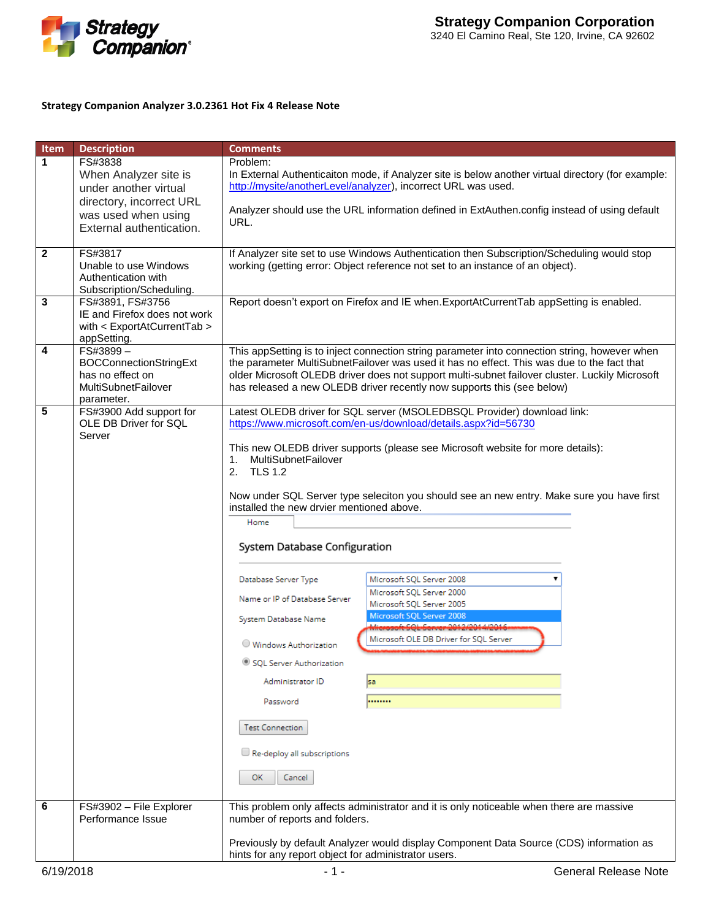

## **Strategy Companion Analyzer 3.0.2361 Hot Fix 4 Release Note**

| Item                    | <b>Description</b>                                                                                                                       | <b>Comments</b>                                                                                                                                                                                                                                                                                                                                                                                                                                                                                                                                                                                                                                                                                                                                                                                                                                                                                                            |
|-------------------------|------------------------------------------------------------------------------------------------------------------------------------------|----------------------------------------------------------------------------------------------------------------------------------------------------------------------------------------------------------------------------------------------------------------------------------------------------------------------------------------------------------------------------------------------------------------------------------------------------------------------------------------------------------------------------------------------------------------------------------------------------------------------------------------------------------------------------------------------------------------------------------------------------------------------------------------------------------------------------------------------------------------------------------------------------------------------------|
| 1                       | FS#3838<br>When Analyzer site is<br>under another virtual<br>directory, incorrect URL<br>was used when using<br>External authentication. | Problem:<br>In External Authenticaiton mode, if Analyzer site is below another virtual directory (for example:<br>http://mysite/anotherLevel/analyzer), incorrect URL was used.<br>Analyzer should use the URL information defined in ExtAuthen.config instead of using default<br>URL.                                                                                                                                                                                                                                                                                                                                                                                                                                                                                                                                                                                                                                    |
| $\overline{\mathbf{2}}$ | FS#3817<br>Unable to use Windows<br>Authentication with<br>Subscription/Scheduling.                                                      | If Analyzer site set to use Windows Authentication then Subscription/Scheduling would stop<br>working (getting error: Object reference not set to an instance of an object).                                                                                                                                                                                                                                                                                                                                                                                                                                                                                                                                                                                                                                                                                                                                               |
| 3                       | FS#3891, FS#3756<br>IE and Firefox does not work<br>with < ExportAtCurrentTab ><br>appSetting.                                           | Report doesn't export on Firefox and IE when. ExportAtCurrentTab appSetting is enabled.                                                                                                                                                                                                                                                                                                                                                                                                                                                                                                                                                                                                                                                                                                                                                                                                                                    |
| 4                       | FS#3899-<br><b>BOCConnectionStringExt</b><br>has no effect on<br><b>MultiSubnetFailover</b><br>parameter.                                | This appSetting is to inject connection string parameter into connection string, however when<br>the parameter MultiSubnetFailover was used it has no effect. This was due to the fact that<br>older Microsoft OLEDB driver does not support multi-subnet failover cluster. Luckily Microsoft<br>has released a new OLEDB driver recently now supports this (see below)                                                                                                                                                                                                                                                                                                                                                                                                                                                                                                                                                    |
| 5                       | FS#3900 Add support for<br>OLE DB Driver for SQL<br>Server                                                                               | Latest OLEDB driver for SQL server (MSOLEDBSQL Provider) download link:<br>https://www.microsoft.com/en-us/download/details.aspx?id=56730<br>This new OLEDB driver supports (please see Microsoft website for more details):<br>MultiSubnetFailover<br>2. TLS 1.2<br>Now under SQL Server type seleciton you should see an new entry. Make sure you have first<br>installed the new drvier mentioned above.<br>Home<br>System Database Configuration<br>Database Server Type<br>Microsoft SQL Server 2008<br>v<br>Microsoft SQL Server 2000<br>Name or IP of Database Server<br>Microsoft SQL Server 2005<br>Microsoft SQL Server 2008<br>System Database Name<br>Missourch COL Company 2012/2014 1/2016<br>Microsoft OLE DB Driver for SQL Server<br>Windows Authorization<br>SQL Server Authorization<br>Administrator ID<br>sa<br><br>Password<br><b>Test Connection</b><br>Re-deploy all subscriptions<br>ОК<br>Cancel |
| 6                       | FS#3902 - File Explorer<br>Performance Issue                                                                                             | This problem only affects administrator and it is only noticeable when there are massive<br>number of reports and folders.<br>Previously by default Analyzer would display Component Data Source (CDS) information as                                                                                                                                                                                                                                                                                                                                                                                                                                                                                                                                                                                                                                                                                                      |
| 6/19/2018               |                                                                                                                                          | hints for any report object for administrator users.<br><b>General Release Note</b><br>$-1-$                                                                                                                                                                                                                                                                                                                                                                                                                                                                                                                                                                                                                                                                                                                                                                                                                               |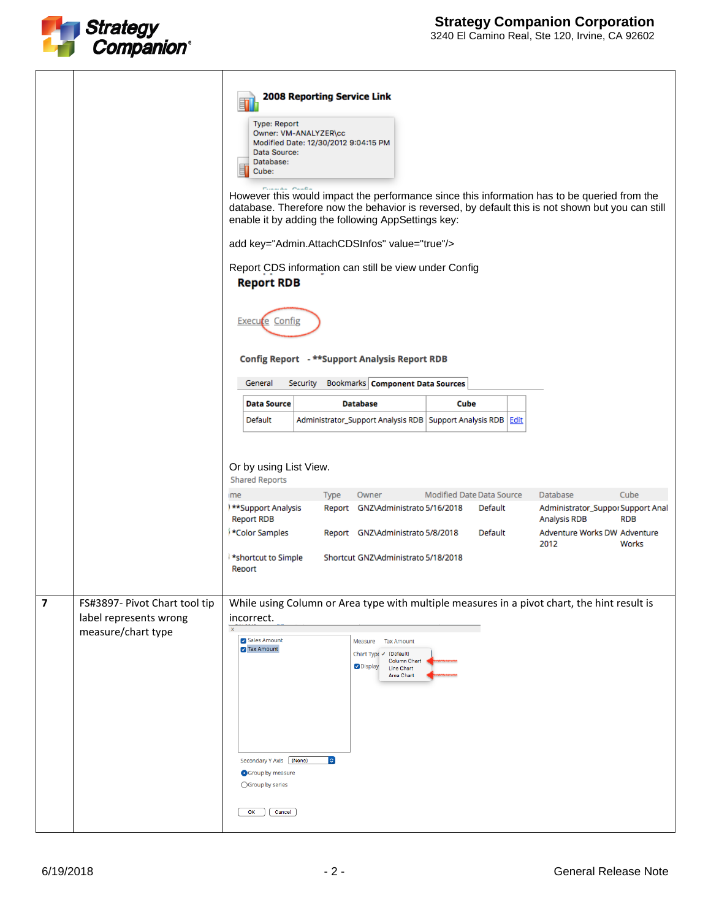

|                         |                                                                               | <b>2008 Reporting Service Link</b><br>苜<br><b>Type: Report</b><br>Owner: VM-ANALYZER\cc<br>Modified Date: 12/30/2012 9:04:15 PM<br>Data Source:<br>Database:<br>圁<br>Cube:<br>However this would impact the performance since this information has to be queried from the<br>database. Therefore now the behavior is reversed, by default this is not shown but you can still<br>enable it by adding the following AppSettings key:<br>add key="Admin.AttachCDSInfos" value="true"/><br>Report CDS information can still be view under Config<br><b>Report RDB</b><br>Execute Config<br>Config Report - **Support Analysis Report RDB<br><b>Bookmarks Component Data Sources</b><br>General<br>Security |
|-------------------------|-------------------------------------------------------------------------------|---------------------------------------------------------------------------------------------------------------------------------------------------------------------------------------------------------------------------------------------------------------------------------------------------------------------------------------------------------------------------------------------------------------------------------------------------------------------------------------------------------------------------------------------------------------------------------------------------------------------------------------------------------------------------------------------------------|
|                         |                                                                               | <b>Data Source</b><br><b>Database</b><br>Cube                                                                                                                                                                                                                                                                                                                                                                                                                                                                                                                                                                                                                                                           |
|                         |                                                                               | Administrator_Support Analysis RDB   Support Analysis RDB   Edit<br>Default                                                                                                                                                                                                                                                                                                                                                                                                                                                                                                                                                                                                                             |
|                         |                                                                               | Or by using List View.<br><b>Shared Reports</b><br>Cube<br>Modified Date Data Source<br>Database<br>Type<br>Owner<br>me<br>**Support Analysis<br>Administrator_Suppor Support Anal<br>Report GNZ\Administrato 5/16/2018<br>Default<br><b>Report RDB</b><br><b>Analysis RDB</b><br><b>RDB</b><br>*Color Samples<br>Adventure Works DW Adventure<br>Report GNZ\Administrato 5/8/2018<br>Default<br>2012<br>Works<br>*shortcut to Simple<br>Shortcut GNZ\Administrato 5/18/2018<br>Report                                                                                                                                                                                                                  |
|                         |                                                                               |                                                                                                                                                                                                                                                                                                                                                                                                                                                                                                                                                                                                                                                                                                         |
| $\overline{\mathbf{z}}$ | FS#3897- Pivot Chart tool tip<br>label represents wrong<br>measure/chart type | While using Column or Area type with multiple measures in a pivot chart, the hint result is<br>incorrect.<br>$\mathbf x$<br>Sales Amount<br><b>Tax Amount</b><br>Measure<br><b>7</b> Tax Amount<br>Chart Typ∈ V (Default)<br><b>Column Chart</b><br>Oisplay<br><b>Line Chart</b><br>Area Chart<br>Secondary Y Axis [ (None)<br>$ \hat{\phi} $<br>Group by measure<br>○Group by series<br>OK<br>Cancel                                                                                                                                                                                                                                                                                                   |